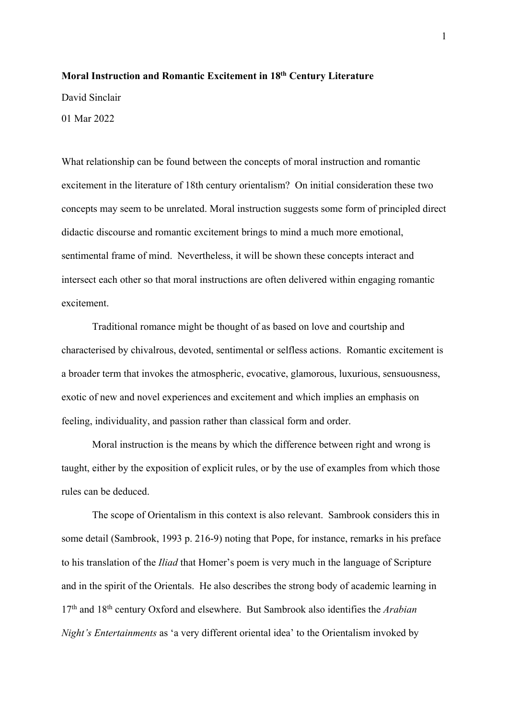## **Moral Instruction and Romantic Excitement in 18th Century Literature**

David Sinclair

01 Mar 2022

What relationship can be found between the concepts of moral instruction and romantic excitement in the literature of 18th century orientalism? On initial consideration these two concepts may seem to be unrelated. Moral instruction suggests some form of principled direct didactic discourse and romantic excitement brings to mind a much more emotional, sentimental frame of mind. Nevertheless, it will be shown these concepts interact and intersect each other so that moral instructions are often delivered within engaging romantic excitement.

Traditional romance might be thought of as based on love and courtship and characterised by chivalrous, devoted, sentimental or selfless actions. Romantic excitement is a broader term that invokes the atmospheric, evocative, glamorous, luxurious, sensuousness, exotic of new and novel experiences and excitement and which implies an emphasis on feeling, individuality, and passion rather than classical form and order.

Moral instruction is the means by which the difference between right and wrong is taught, either by the exposition of explicit rules, or by the use of examples from which those rules can be deduced.

The scope of Orientalism in this context is also relevant. Sambrook considers this in some detail (Sambrook, 1993 p. 216-9) noting that Pope, for instance, remarks in his preface to his translation of the *Iliad* that Homer's poem is very much in the language of Scripture and in the spirit of the Orientals. He also describes the strong body of academic learning in 17th and 18th century Oxford and elsewhere. But Sambrook also identifies the *Arabian Night's Entertainments* as 'a very different oriental idea' to the Orientalism invoked by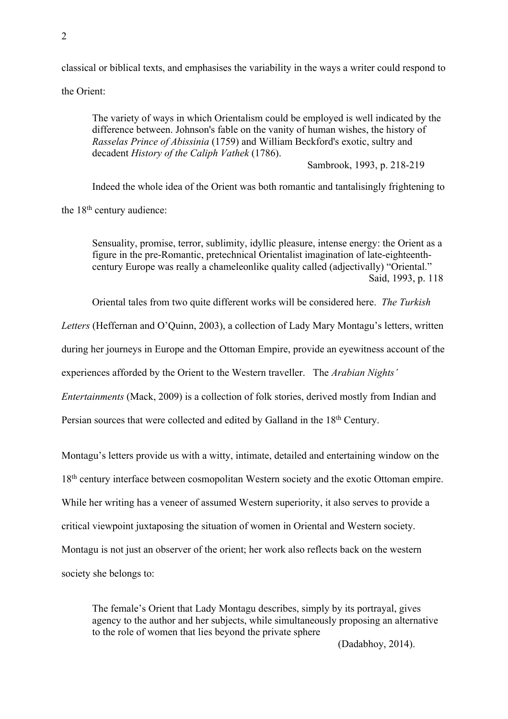classical or biblical texts, and emphasises the variability in the ways a writer could respond to

the Orient:

The variety of ways in which Orientalism could be employed is well indicated by the difference between. Johnson's fable on the vanity of human wishes, the history of *Rasselas Prince of Abissinia* (1759) and William Beckford's exotic, sultry and decadent *History of the Caliph Vathek* (1786).

Sambrook, 1993, p. 218-219

Indeed the whole idea of the Orient was both romantic and tantalisingly frightening to the 18<sup>th</sup> century audience:

Sensuality, promise, terror, sublimity, idyllic pleasure, intense energy: the Orient as a figure in the pre-Romantic, pretechnical Orientalist imagination of late-eighteenthcentury Europe was really a chameleonlike quality called (adjectivally) "Oriental." Said, 1993, p. 118

Oriental tales from two quite different works will be considered here. *The Turkish* 

*Letters* (Heffernan and O'Quinn, 2003), a collection of Lady Mary Montagu's letters, written

during her journeys in Europe and the Ottoman Empire, provide an eyewitness account of the

experiences afforded by the Orient to the Western traveller. The *Arabian Nights'* 

*Entertainments* (Mack, 2009) is a collection of folk stories, derived mostly from Indian and

Persian sources that were collected and edited by Galland in the 18<sup>th</sup> Century.

Montagu's letters provide us with a witty, intimate, detailed and entertaining window on the

18<sup>th</sup> century interface between cosmopolitan Western society and the exotic Ottoman empire.

While her writing has a veneer of assumed Western superiority, it also serves to provide a

critical viewpoint juxtaposing the situation of women in Oriental and Western society.

Montagu is not just an observer of the orient; her work also reflects back on the western

society she belongs to:

The female's Orient that Lady Montagu describes, simply by its portrayal, gives agency to the author and her subjects, while simultaneously proposing an alternative to the role of women that lies beyond the private sphere

(Dadabhoy, 2014).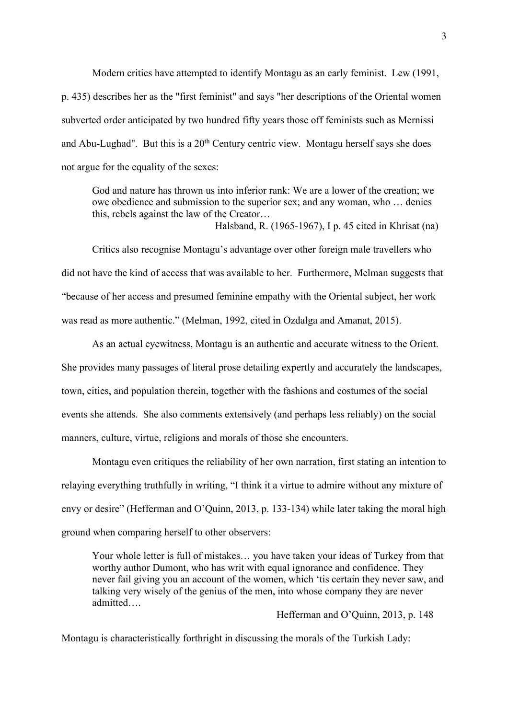Modern critics have attempted to identify Montagu as an early feminist. Lew (1991, p. 435) describes her as the "first feminist" and says "her descriptions of the Oriental women subverted order anticipated by two hundred fifty years those off feminists such as Mernissi and Abu-Lughad". But this is a  $20<sup>th</sup>$  Century centric view. Montagu herself says she does not argue for the equality of the sexes:

God and nature has thrown us into inferior rank: We are a lower of the creation; we owe obedience and submission to the superior sex; and any woman, who … denies this, rebels against the law of the Creator…

Halsband, R. (1965-1967), I p. 45 cited in Khrisat (na)

Critics also recognise Montagu's advantage over other foreign male travellers who did not have the kind of access that was available to her. Furthermore, Melman suggests that "because of her access and presumed feminine empathy with the Oriental subject, her work was read as more authentic." (Melman, 1992, cited in Ozdalga and Amanat, 2015).

As an actual eyewitness, Montagu is an authentic and accurate witness to the Orient. She provides many passages of literal prose detailing expertly and accurately the landscapes, town, cities, and population therein, together with the fashions and costumes of the social events she attends. She also comments extensively (and perhaps less reliably) on the social manners, culture, virtue, religions and morals of those she encounters.

Montagu even critiques the reliability of her own narration, first stating an intention to relaying everything truthfully in writing, "I think it a virtue to admire without any mixture of envy or desire" (Hefferman and O'Quinn, 2013, p. 133-134) while later taking the moral high ground when comparing herself to other observers:

Your whole letter is full of mistakes… you have taken your ideas of Turkey from that worthy author Dumont, who has writ with equal ignorance and confidence. They never fail giving you an account of the women, which 'tis certain they never saw, and talking very wisely of the genius of the men, into whose company they are never admitted….

Hefferman and O'Quinn, 2013, p. 148

Montagu is characteristically forthright in discussing the morals of the Turkish Lady: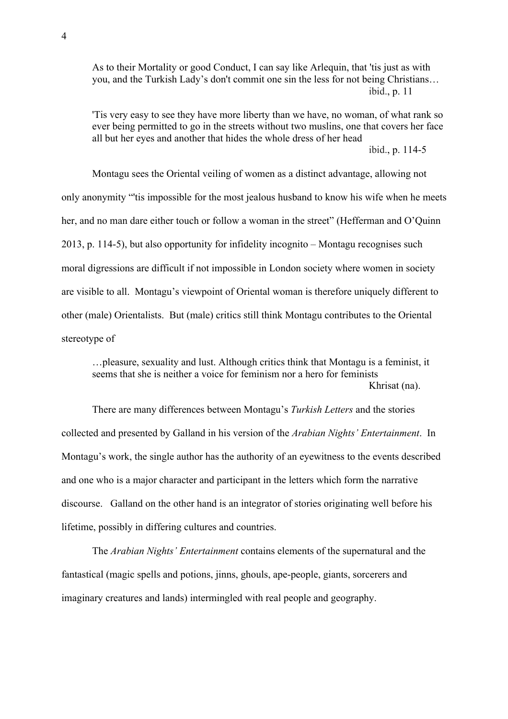As to their Mortality or good Conduct, I can say like Arlequin, that 'tis just as with you, and the Turkish Lady's don't commit one sin the less for not being Christians… ibid., p. 11

'Tis very easy to see they have more liberty than we have, no woman, of what rank so ever being permitted to go in the streets without two muslins, one that covers her face all but her eyes and another that hides the whole dress of her head ibid., p. 114-5

Montagu sees the Oriental veiling of women as a distinct advantage, allowing not only anonymity "'tis impossible for the most jealous husband to know his wife when he meets her, and no man dare either touch or follow a woman in the street" (Hefferman and O'Quinn 2013, p. 114-5), but also opportunity for infidelity incognito – Montagu recognises such moral digressions are difficult if not impossible in London society where women in society are visible to all. Montagu's viewpoint of Oriental woman is therefore uniquely different to other (male) Orientalists. But (male) critics still think Montagu contributes to the Oriental stereotype of

…pleasure, sexuality and lust. Although critics think that Montagu is a feminist, it seems that she is neither a voice for feminism nor a hero for feminists Khrisat (na).

There are many differences between Montagu's *Turkish Letters* and the stories collected and presented by Galland in his version of the *Arabian Nights' Entertainment*. In Montagu's work, the single author has the authority of an eyewitness to the events described and one who is a major character and participant in the letters which form the narrative discourse. Galland on the other hand is an integrator of stories originating well before his lifetime, possibly in differing cultures and countries.

The *Arabian Nights' Entertainment* contains elements of the supernatural and the fantastical (magic spells and potions, jinns, ghouls, ape-people, giants, sorcerers and imaginary creatures and lands) intermingled with real people and geography.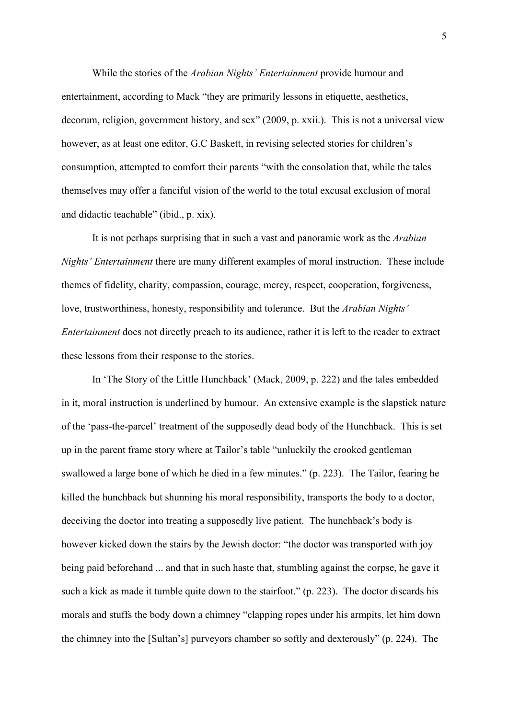While the stories of the *Arabian Nights' Entertainment* provide humour and entertainment, according to Mack "they are primarily lessons in etiquette, aesthetics, decorum, religion, government history, and sex" (2009, p. xxii.). This is not a universal view however, as at least one editor, G.C Baskett, in revising selected stories for children's consumption, attempted to comfort their parents "with the consolation that, while the tales themselves may offer a fanciful vision of the world to the total excusal exclusion of moral and didactic teachable" (ibid., p. xix).

It is not perhaps surprising that in such a vast and panoramic work as the *Arabian Nights' Entertainment* there are many different examples of moral instruction. These include themes of fidelity, charity, compassion, courage, mercy, respect, cooperation, forgiveness, love, trustworthiness, honesty, responsibility and tolerance. But the *Arabian Nights' Entertainment* does not directly preach to its audience, rather it is left to the reader to extract these lessons from their response to the stories.

In 'The Story of the Little Hunchback' (Mack, 2009, p. 222) and the tales embedded in it, moral instruction is underlined by humour. An extensive example is the slapstick nature of the 'pass-the-parcel' treatment of the supposedly dead body of the Hunchback. This is set up in the parent frame story where at Tailor's table "unluckily the crooked gentleman swallowed a large bone of which he died in a few minutes." (p. 223). The Tailor, fearing he killed the hunchback but shunning his moral responsibility, transports the body to a doctor, deceiving the doctor into treating a supposedly live patient. The hunchback's body is however kicked down the stairs by the Jewish doctor: "the doctor was transported with joy being paid beforehand ... and that in such haste that, stumbling against the corpse, he gave it such a kick as made it tumble quite down to the stairfoot." (p. 223). The doctor discards his morals and stuffs the body down a chimney "clapping ropes under his armpits, let him down the chimney into the [Sultan's] purveyors chamber so softly and dexterously" (p. 224). The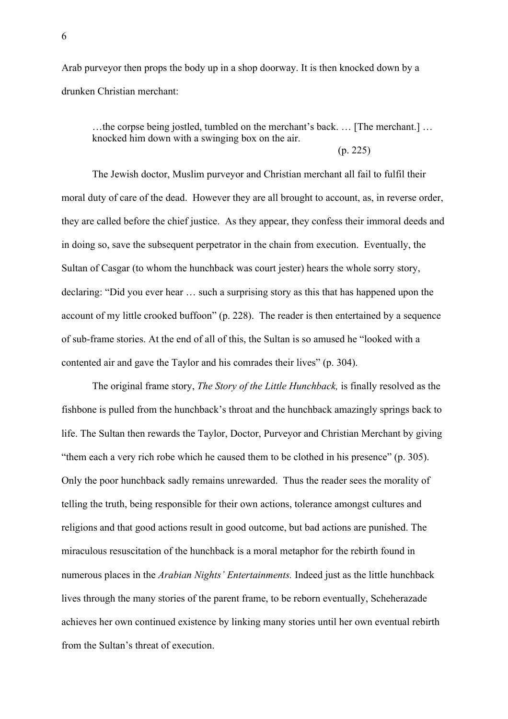Arab purveyor then props the body up in a shop doorway. It is then knocked down by a drunken Christian merchant:

…the corpse being jostled, tumbled on the merchant's back. … [The merchant.] … knocked him down with a swinging box on the air.

(p. 225)

The Jewish doctor, Muslim purveyor and Christian merchant all fail to fulfil their moral duty of care of the dead. However they are all brought to account, as, in reverse order, they are called before the chief justice. As they appear, they confess their immoral deeds and in doing so, save the subsequent perpetrator in the chain from execution. Eventually, the Sultan of Casgar (to whom the hunchback was court jester) hears the whole sorry story, declaring: "Did you ever hear … such a surprising story as this that has happened upon the account of my little crooked buffoon" (p. 228). The reader is then entertained by a sequence of sub-frame stories. At the end of all of this, the Sultan is so amused he "looked with a contented air and gave the Taylor and his comrades their lives" (p. 304).

The original frame story, *The Story of the Little Hunchback,* is finally resolved as the fishbone is pulled from the hunchback's throat and the hunchback amazingly springs back to life. The Sultan then rewards the Taylor, Doctor, Purveyor and Christian Merchant by giving "them each a very rich robe which he caused them to be clothed in his presence" (p. 305). Only the poor hunchback sadly remains unrewarded. Thus the reader sees the morality of telling the truth, being responsible for their own actions, tolerance amongst cultures and religions and that good actions result in good outcome, but bad actions are punished. The miraculous resuscitation of the hunchback is a moral metaphor for the rebirth found in numerous places in the *Arabian Nights' Entertainments.* Indeed just as the little hunchback lives through the many stories of the parent frame, to be reborn eventually, Scheherazade achieves her own continued existence by linking many stories until her own eventual rebirth from the Sultan's threat of execution.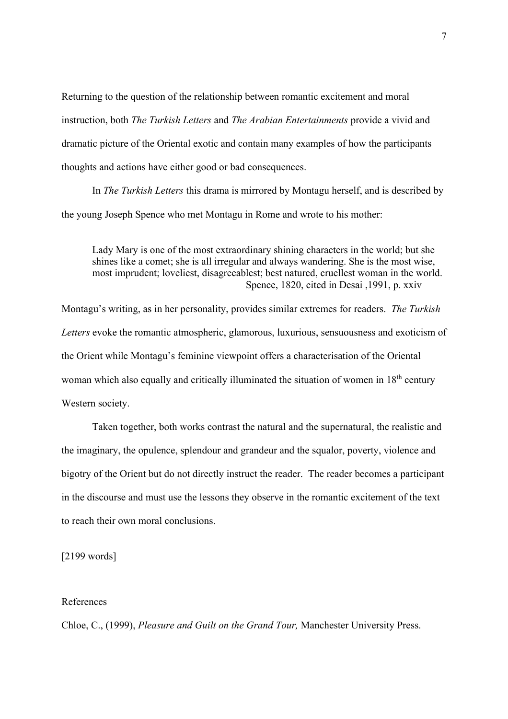Returning to the question of the relationship between romantic excitement and moral instruction, both *The Turkish Letters* and *The Arabian Entertainments* provide a vivid and dramatic picture of the Oriental exotic and contain many examples of how the participants thoughts and actions have either good or bad consequences.

In *The Turkish Letters* this drama is mirrored by Montagu herself, and is described by the young Joseph Spence who met Montagu in Rome and wrote to his mother:

Lady Mary is one of the most extraordinary shining characters in the world; but she shines like a comet; she is all irregular and always wandering. She is the most wise, most imprudent; loveliest, disagreeablest; best natured, cruellest woman in the world. Spence, 1820, cited in Desai ,1991, p. xxiv

Montagu's writing, as in her personality, provides similar extremes for readers. *The Turkish Letters* evoke the romantic atmospheric, glamorous, luxurious, sensuousness and exoticism of the Orient while Montagu's feminine viewpoint offers a characterisation of the Oriental woman which also equally and critically illuminated the situation of women in 18<sup>th</sup> century Western society.

Taken together, both works contrast the natural and the supernatural, the realistic and the imaginary, the opulence, splendour and grandeur and the squalor, poverty, violence and bigotry of the Orient but do not directly instruct the reader. The reader becomes a participant in the discourse and must use the lessons they observe in the romantic excitement of the text to reach their own moral conclusions.

[2199 words]

## References

Chloe, C., (1999), *Pleasure and Guilt on the Grand Tour,* Manchester University Press.